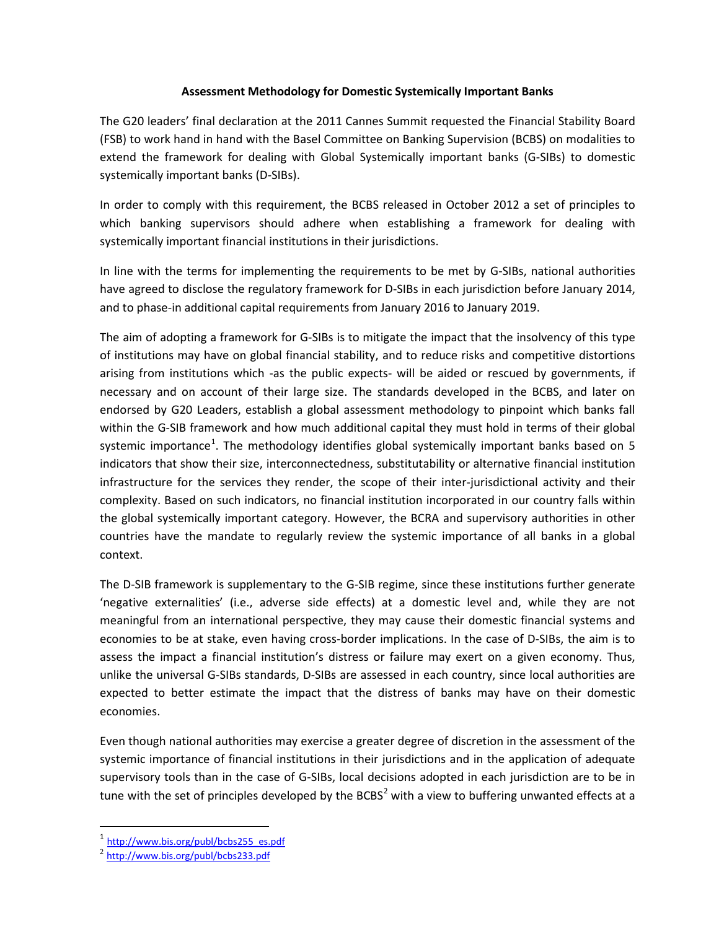## **Assessment Methodology for Domestic Systemically Important Banks**

The G20 leaders' final declaration at the 2011 Cannes Summit requested the Financial Stability Board (FSB) to work hand in hand with the Basel Committee on Banking Supervision (BCBS) on modalities to extend the framework for dealing with Global Systemically important banks (G-SIBs) to domestic systemically important banks (D-SIBs).

In order to comply with this requirement, the BCBS released in October 2012 a set of principles to which banking supervisors should adhere when establishing a framework for dealing with systemically important financial institutions in their jurisdictions.

In line with the terms for implementing the requirements to be met by G-SIBs, national authorities have agreed to disclose the regulatory framework for D-SIBs in each jurisdiction before January 2014, and to phase-in additional capital requirements from January 2016 to January 2019.

The aim of adopting a framework for G-SIBs is to mitigate the impact that the insolvency of this type of institutions may have on global financial stability, and to reduce risks and competitive distortions arising from institutions which -as the public expects- will be aided or rescued by governments, if necessary and on account of their large size. The standards developed in the BCBS, and later on endorsed by G20 Leaders, establish a global assessment methodology to pinpoint which banks fall within the G-SIB framework and how much additional capital they must hold in terms of their global systemic importance<sup>[1](#page-0-0)</sup>. The methodology identifies global systemically important banks based on 5 indicators that show their size, interconnectedness, substitutability or alternative financial institution infrastructure for the services they render, the scope of their inter-jurisdictional activity and their complexity. Based on such indicators, no financial institution incorporated in our country falls within the global systemically important category. However, the BCRA and supervisory authorities in other countries have the mandate to regularly review the systemic importance of all banks in a global context.

The D-SIB framework is supplementary to the G-SIB regime, since these institutions further generate 'negative externalities' (i.e., adverse side effects) at a domestic level and, while they are not meaningful from an international perspective, they may cause their domestic financial systems and economies to be at stake, even having cross-border implications. In the case of D-SIBs, the aim is to assess the impact a financial institution's distress or failure may exert on a given economy. Thus, unlike the universal G-SIBs standards, D-SIBs are assessed in each country, since local authorities are expected to better estimate the impact that the distress of banks may have on their domestic economies.

Even though national authorities may exercise a greater degree of discretion in the assessment of the systemic importance of financial institutions in their jurisdictions and in the application of adequate supervisory tools than in the case of G-SIBs, local decisions adopted in each jurisdiction are to be in tune with the set of principles developed by the BCBS<sup>[2](#page-0-1)</sup> with a view to buffering unwanted effects at a

<span id="page-0-0"></span> $1$  [http://www.bis.org/publ/bcbs255\\_es.pdf](http://www.bis.org/publ/bcbs255_es.pdf)

<span id="page-0-1"></span><sup>2</sup> <http://www.bis.org/publ/bcbs233.pdf>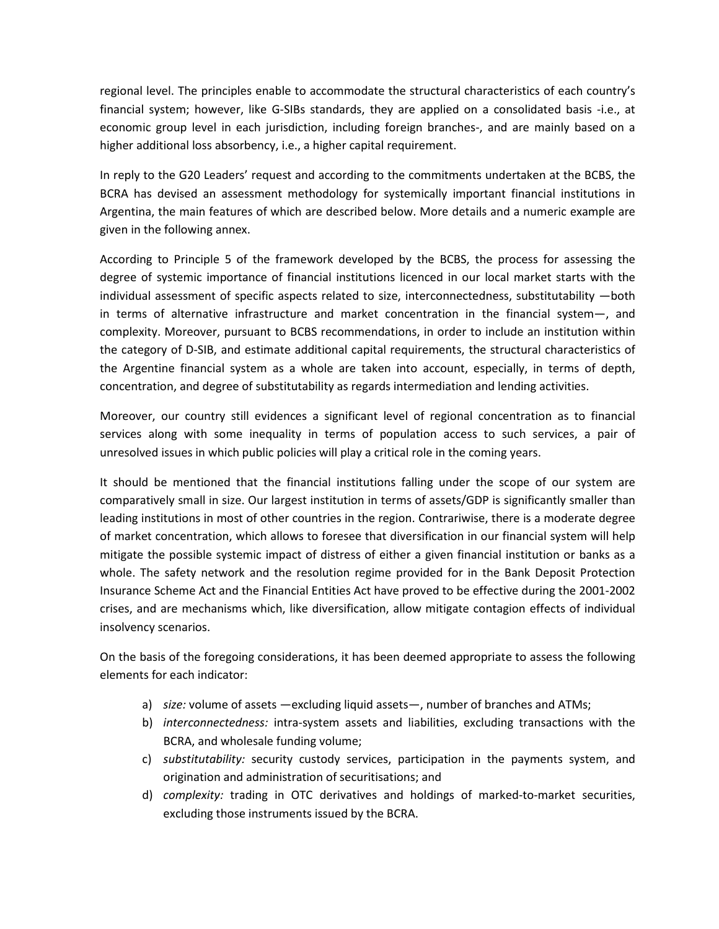regional level. The principles enable to accommodate the structural characteristics of each country's financial system; however, like G-SIBs standards, they are applied on a consolidated basis -i.e., at economic group level in each jurisdiction, including foreign branches-, and are mainly based on a higher additional loss absorbency, i.e., a higher capital requirement.

In reply to the G20 Leaders' request and according to the commitments undertaken at the BCBS, the BCRA has devised an assessment methodology for systemically important financial institutions in Argentina, the main features of which are described below. More details and a numeric example are given in the following annex.

According to Principle 5 of the framework developed by the BCBS, the process for assessing the degree of systemic importance of financial institutions licenced in our local market starts with the individual assessment of specific aspects related to size, interconnectedness, substitutability —both in terms of alternative infrastructure and market concentration in the financial system—, and complexity. Moreover, pursuant to BCBS recommendations, in order to include an institution within the category of D-SIB, and estimate additional capital requirements, the structural characteristics of the Argentine financial system as a whole are taken into account, especially, in terms of depth, concentration, and degree of substitutability as regards intermediation and lending activities.

Moreover, our country still evidences a significant level of regional concentration as to financial services along with some inequality in terms of population access to such services, a pair of unresolved issues in which public policies will play a critical role in the coming years.

It should be mentioned that the financial institutions falling under the scope of our system are comparatively small in size. Our largest institution in terms of assets/GDP is significantly smaller than leading institutions in most of other countries in the region. Contrariwise, there is a moderate degree of market concentration, which allows to foresee that diversification in our financial system will help mitigate the possible systemic impact of distress of either a given financial institution or banks as a whole. The safety network and the resolution regime provided for in the Bank Deposit Protection Insurance Scheme Act and the Financial Entities Act have proved to be effective during the 2001-2002 crises, and are mechanisms which, like diversification, allow mitigate contagion effects of individual insolvency scenarios.

On the basis of the foregoing considerations, it has been deemed appropriate to assess the following elements for each indicator:

- a) *size:* volume of assets —excluding liquid assets—, number of branches and ATMs;
- b) *interconnectedness:* intra-system assets and liabilities, excluding transactions with the BCRA, and wholesale funding volume;
- c) *substitutability:* security custody services, participation in the payments system, and origination and administration of securitisations; and
- d) *complexity:* trading in OTC derivatives and holdings of marked-to-market securities, excluding those instruments issued by the BCRA.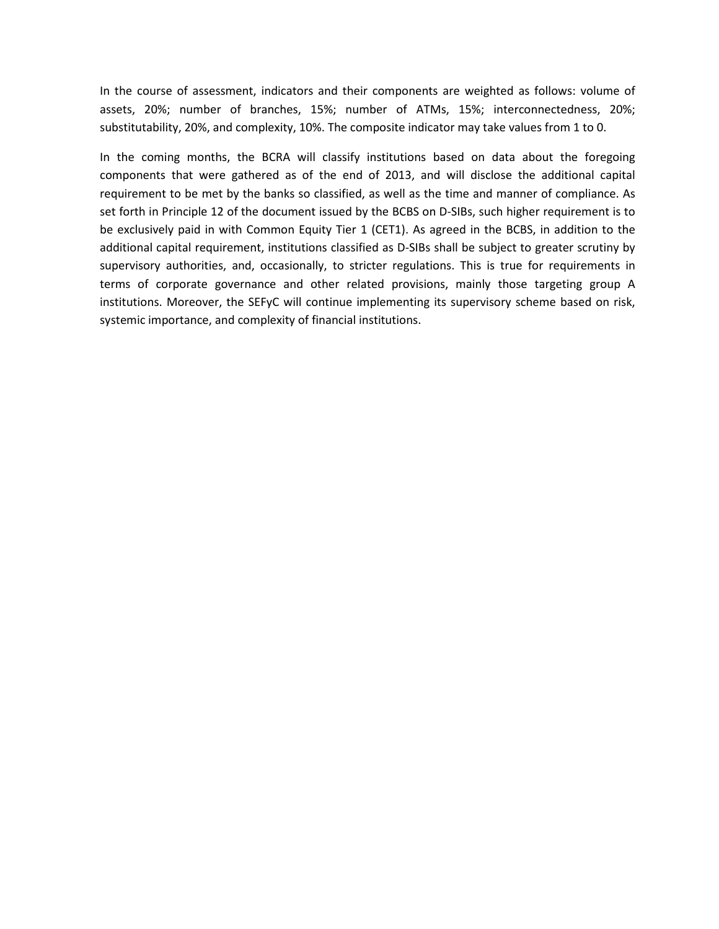In the course of assessment, indicators and their components are weighted as follows: volume of assets, 20%; number of branches, 15%; number of ATMs, 15%; interconnectedness, 20%; substitutability, 20%, and complexity, 10%. The composite indicator may take values from 1 to 0.

In the coming months, the BCRA will classify institutions based on data about the foregoing components that were gathered as of the end of 2013, and will disclose the additional capital requirement to be met by the banks so classified, as well as the time and manner of compliance. As set forth in Principle 12 of the document issued by the BCBS on D-SIBs, such higher requirement is to be exclusively paid in with Common Equity Tier 1 (CET1). As agreed in the BCBS, in addition to the additional capital requirement, institutions classified as D-SIBs shall be subject to greater scrutiny by supervisory authorities, and, occasionally, to stricter regulations. This is true for requirements in terms of corporate governance and other related provisions, mainly those targeting group A institutions. Moreover, the SEFyC will continue implementing its supervisory scheme based on risk, systemic importance, and complexity of financial institutions.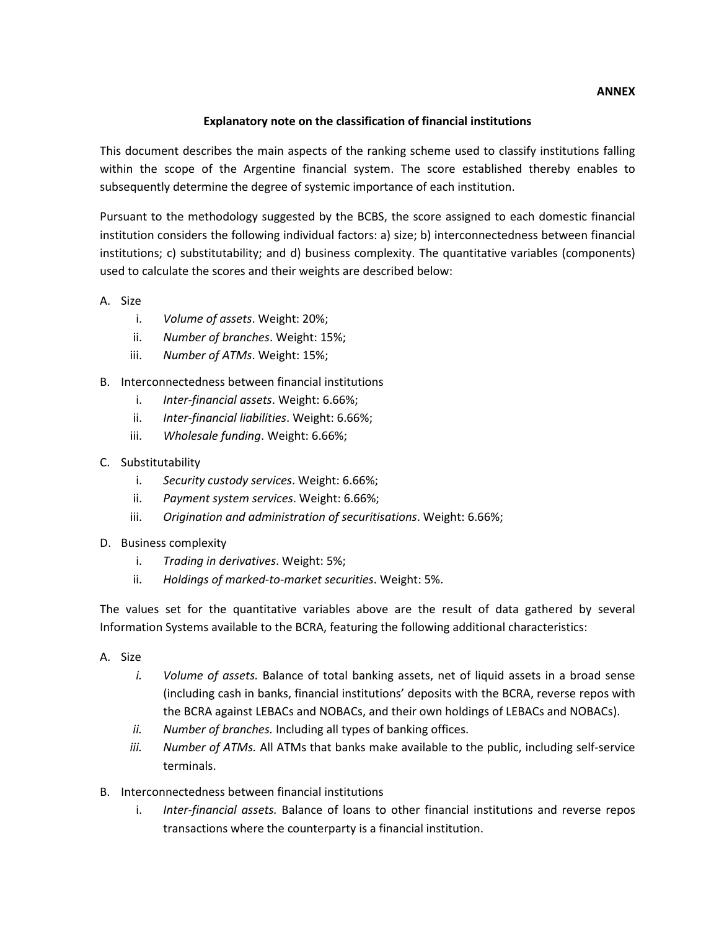## **Explanatory note on the classification of financial institutions**

This document describes the main aspects of the ranking scheme used to classify institutions falling within the scope of the Argentine financial system. The score established thereby enables to subsequently determine the degree of systemic importance of each institution.

Pursuant to the methodology suggested by the BCBS, the score assigned to each domestic financial institution considers the following individual factors: a) size; b) interconnectedness between financial institutions; c) substitutability; and d) business complexity. The quantitative variables (components) used to calculate the scores and their weights are described below:

A. Size

- i. *Volume of assets*. Weight: 20%;
- ii. *Number of branches*. Weight: 15%;
- iii. *Number of ATMs*. Weight: 15%;
- B. Interconnectedness between financial institutions
	- i. *Inter-financial assets*. Weight: 6.66%;
	- ii. *Inter-financial liabilities*. Weight: 6.66%;
	- iii. *Wholesale funding*. Weight: 6.66%;
- C. Substitutability
	- i. *Security custody services*. Weight: 6.66%;
	- ii. *Payment system services*. Weight: 6.66%;
	- iii. *Origination and administration of securitisations*. Weight: 6.66%;
- D. Business complexity
	- i. *Trading in derivatives*. Weight: 5%;
	- ii. *Holdings of marked-to-market securities*. Weight: 5%.

The values set for the quantitative variables above are the result of data gathered by several Information Systems available to the BCRA, featuring the following additional characteristics:

- A. Size
	- *i. Volume of assets.* Balance of total banking assets, net of liquid assets in a broad sense (including cash in banks, financial institutions' deposits with the BCRA, reverse repos with the BCRA against LEBACs and NOBACs, and their own holdings of LEBACs and NOBACs).
	- *ii. Number of branches.* Including all types of banking offices.
	- *iii. Number of ATMs.* All ATMs that banks make available to the public, including self-service terminals.
- B. Interconnectedness between financial institutions
	- i. *Inter-financial assets.* Balance of loans to other financial institutions and reverse repos transactions where the counterparty is a financial institution.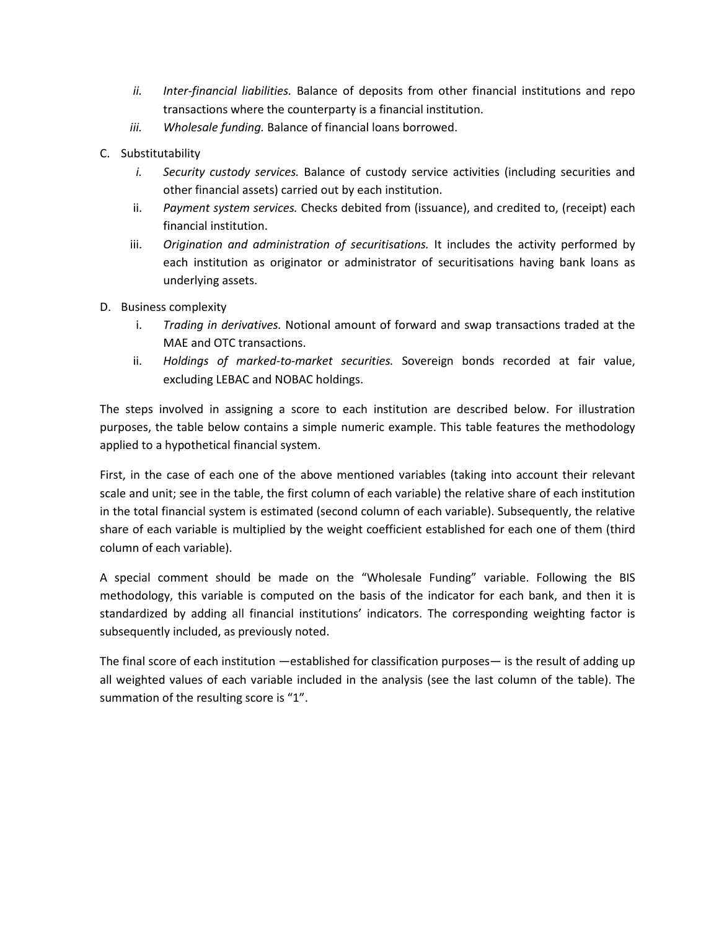- *ii. Inter-financial liabilities.* Balance of deposits from other financial institutions and repo transactions where the counterparty is a financial institution.
- *iii. Wholesale funding.* Balance of financial loans borrowed.
- C. Substitutability
	- *i. Security custody services.* Balance of custody service activities (including securities and other financial assets) carried out by each institution.
	- ii. *Payment system services.* Checks debited from (issuance), and credited to, (receipt) each financial institution.
	- iii. *Origination and administration of securitisations.* It includes the activity performed by each institution as originator or administrator of securitisations having bank loans as underlying assets.
- D. Business complexity
	- i. *Trading in derivatives.* Notional amount of forward and swap transactions traded at the MAE and OTC transactions.
	- ii. *Holdings of marked-to-market securities.* Sovereign bonds recorded at fair value, excluding LEBAC and NOBAC holdings.

The steps involved in assigning a score to each institution are described below. For illustration purposes, the table below contains a simple numeric example. This table features the methodology applied to a hypothetical financial system.

First, in the case of each one of the above mentioned variables (taking into account their relevant scale and unit; see in the table, the first column of each variable) the relative share of each institution in the total financial system is estimated (second column of each variable). Subsequently, the relative share of each variable is multiplied by the weight coefficient established for each one of them (third column of each variable).

A special comment should be made on the "Wholesale Funding" variable. Following the BIS methodology, this variable is computed on the basis of the indicator for each bank, and then it is standardized by adding all financial institutions' indicators. The corresponding weighting factor is subsequently included, as previously noted.

The final score of each institution —established for classification purposes— is the result of adding up all weighted values of each variable included in the analysis (see the last column of the table). The summation of the resulting score is "1".